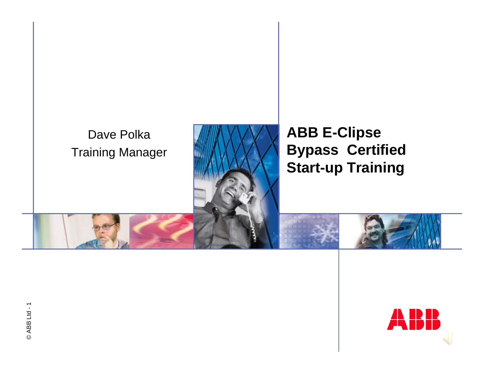#### Dave Polka Training Manager



#### **ABB E-Clipse Bypass Certified Start-up Training**

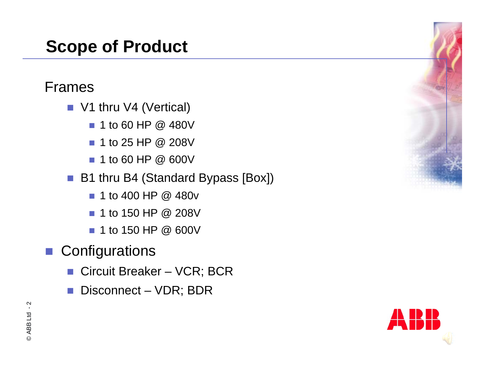### **Scope of Product**

#### Frames

- V1 thru V4 (Vertical)
	- 1 to 60 HP @ 480V
	- 1 to 25 HP @ 208V
	- 1 to 60 HP @ 600V
- B1 thru B4 (Standard Bypass [Box])
	- 1 to 400 HP @ 480v
	- 1 to 150 HP @ 208V
	- 1 to 150 HP @ 600V
- **Configurations** 
	- Circuit Breaker VCR; BCR
	- Disconnect VDR; BDR



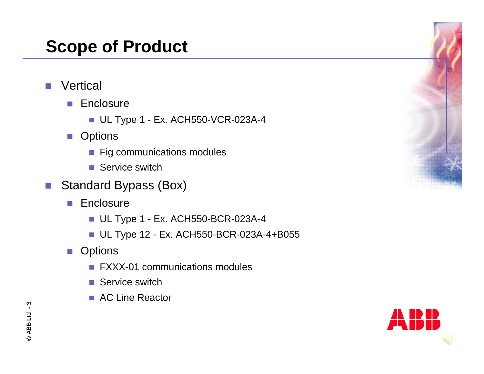### **Scope of Product**

- $\mathcal{L}^{\mathcal{A}}$ **Vertical** 
	- **Enclosure** 
		- UL Type 1 Ex. ACH550-VCR-023A-4
	- Options
		- **Fig communications modules**
		- Service switch
- $\mathcal{L}_{\mathcal{A}}$  Standard Bypass (Box)
	- **Enclosure** 
		- UL Type 1 Ex. ACH550-BCR-023A-4
		- UL Type 12 Ex. ACH550-BCR-023A-4+B055
	- Options
		- FXXX-01 communications modules
		- Service switch
		- AC Line Reactor



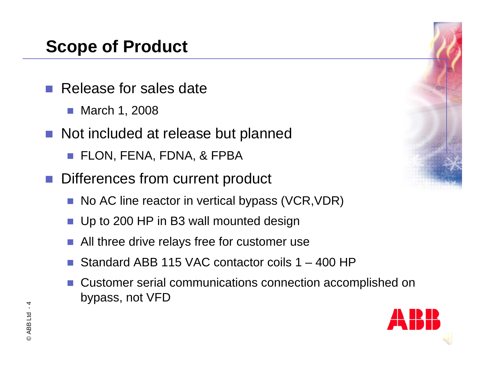### **Scope of Product**

- Release for sales date
	- March 1, 2008
- Not included at release but planned
	- FLON, FENA, FDNA, & FPBA
- **Differences from current product** 
	- No AC line reactor in vertical bypass (VCR,VDR)
	- Up to 200 HP in B3 wall mounted design
	- All three drive relays free for customer use
	- p. Standard ABB 115 VAC contactor coils 1 – 400 HP
	- p. Customer serial communications connection accomplished on bypass, not VFD



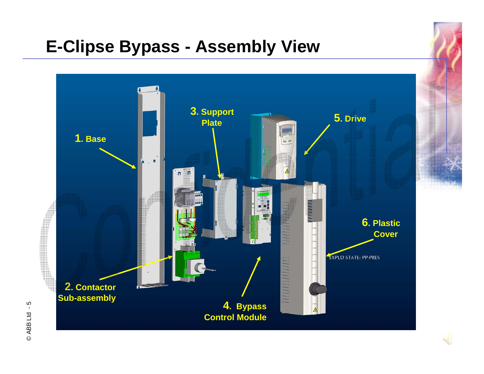### **E-Clipse Bypass - Assembly View**

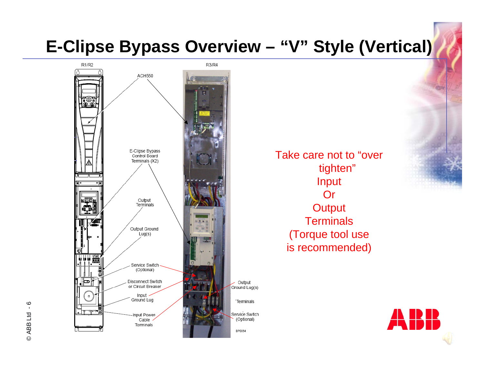### **E-Clipse Bypass Overview – "V" Style (Vertical)**



Take care not to "over tighten" Input **Or Output Terminals** (Torque tool use is recommended)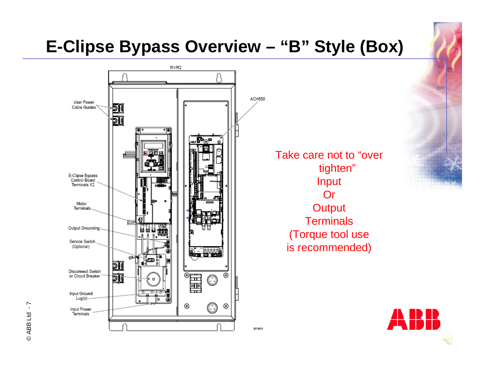### **E-Clipse Bypass Overview – "B" Style (Box)**

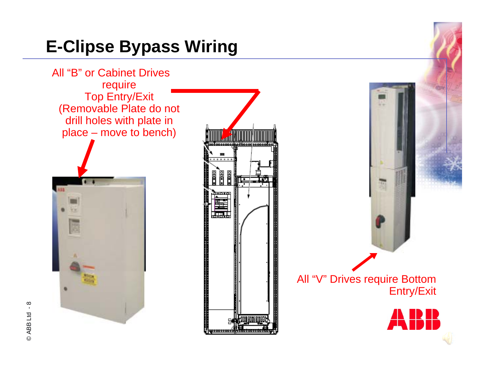### **E-Clipse Bypass Wiring**

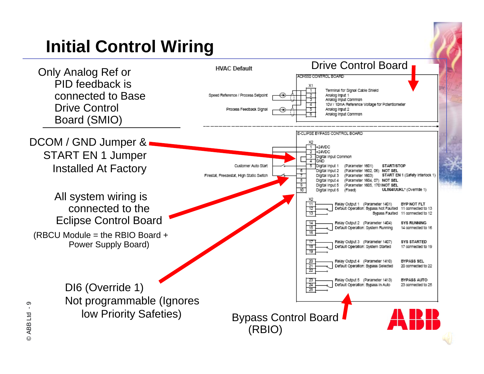# **Initial Control Wiring**

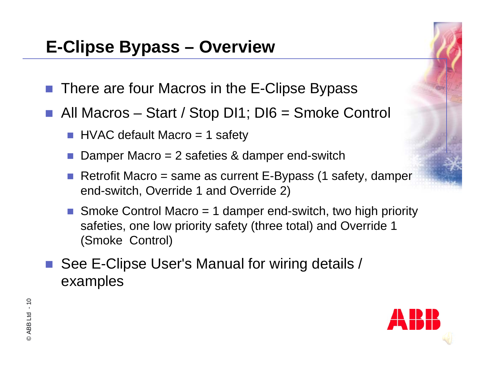### **E-Clipse Bypass – Overview**

- There are four Macros in the E-Clipse Bypass
- All Macros Start / Stop DI1; DI6 = Smoke Control
	- HVAC default Macro = 1 safety
	- p. Damper Macro = 2 safeties & damper end-switch
	- p. Retrofit Macro = same as current E-Bypass (1 safety, damper end-switch, Override 1 and Override 2)
	- Smoke Control Macro  $= 1$  damper end-switch, two high priority safeties, one low priority safety (three total) and Override 1 (Smoke Control)
- See E-Clipse User's Manual for wiring details / examples

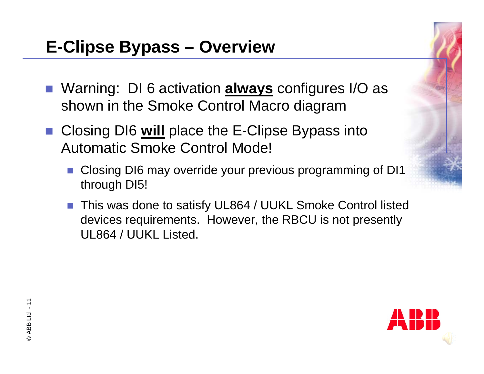- Warning: DI 6 activation **always** configures I/O as shown in the Smoke Control Macro diagram
- Closing DI6 **will** place the E-Clipse Bypass into Automatic Smoke Control Mode!
	- Closing DI6 may override your previous programming of DI1 through DI5!
	- This was done to satisfy UL864 / UUKL Smoke Control listed devices requirements. However, the RBCU is not presently UL864 / UUKL Listed.

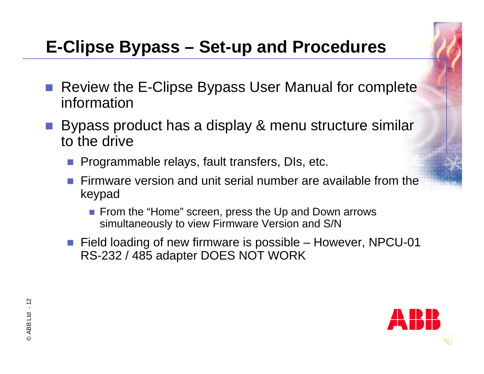## **E-Clipse Bypass – Set-up and Procedures**

- Review the E-Clipse Bypass User Manual for complete information
- Bypass product has a display & menu structure similar to the drive
	- **Programmable relays, fault transfers, DIs, etc.**
	- **Firmware version and unit serial number are available from the** keypad
		- **Fichtary From the "Home" screen, press the Up and Down arrows** simultaneously to view Firmware Version and S/N
	- Field loading of new firmware is possible However, NPCU-01 RS-232 / 485 adapter DOES NOT WORK

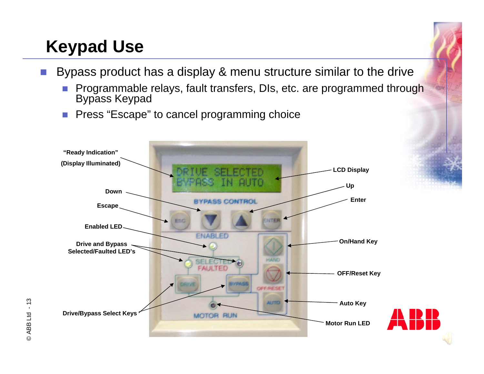## **Keypad Use**

- $\mathcal{L}_{\mathcal{A}}$  Bypass product has a display & menu structure similar to the drive
	- T. Programmable relays, fault transfers, DIs, etc. are programmed through Bypass Keypad
	- **Press "Escape" to cancel programming choice**



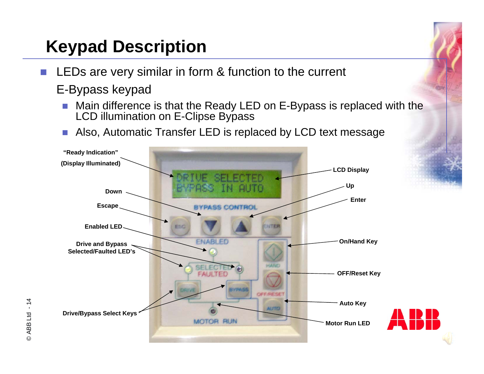## **Keypad Description**

- $\mathbb{R}^3$  LEDs are very similar in form & function to the current E-Bypass keypad
	- $\mathcal{C}^{\mathcal{A}}$  Main difference is that the Ready LED on E-Bypass is replaced with the LCD illumination on E-Clipse Bypass
	- П Also, Automatic Transfer LED is replaced by LCD text message



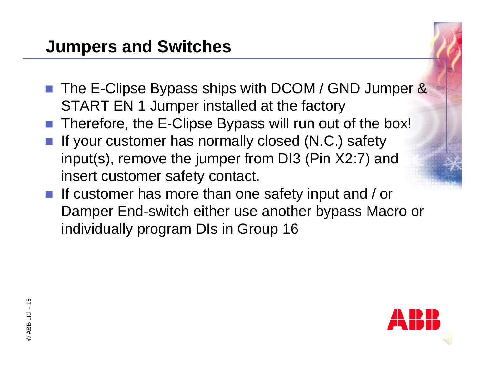### **Jumpers and Switches**

- The E-Clipse Bypass ships with DCOM / GND Jumper & START EN 1 Jumper installed at the factory
- Therefore, the E-Clipse Bypass will run out of the box!
- If your customer has normally closed (N.C.) safety input(s), remove the jumper from DI3 (Pin X2:7) and insert customer safety contact.
- If customer has more than one safety input and / or Damper End-switch either use another bypass Macro or individually program DIs in Group 16

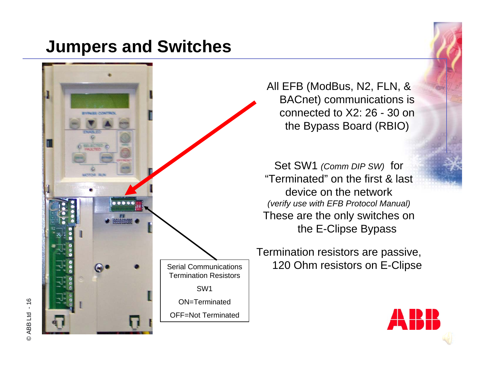### **Jumpers and Switches**



All EFB (ModBus, N2, FLN, & BACnet) communications is connected to X2: 26 - 30 on the Bypass Board (RBIO)

Set SW1 *(Comm DIP SW)* for "Terminated" on the first & lastdevice on the network*(verify use with EFB Protocol Manual)* These are the only switches on the E-Clipse Bypass

Termination resistors are passive, Serial Communications | 120 Ohm resistors on E-Clipse

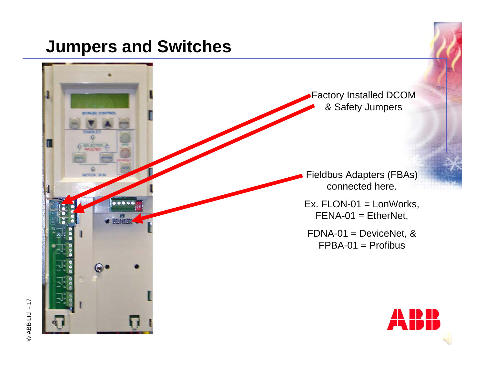### **Jumpers and Switches**

**EVALES CONTROL** 

.....

Factory Installed DCOM & Safety Jumpers

Fieldbus Adapters (FBAs) connected here.

Ex. FLON-01 = LonWorks, FENA-01 = EtherNet,

FDNA-01 = DeviceNet, & FPBA-01 = Profibus

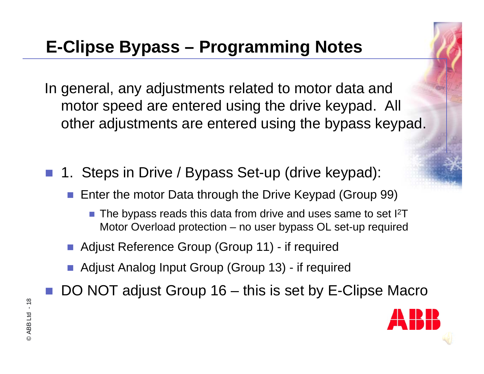In general, any adjustments related to motor data and motor speed are entered using the drive keypad. All other adjustments are entered using the bypass keypad.

- 1. Steps in Drive / Bypass Set-up (drive keypad):
	- Enter the motor Data through the Drive Keypad (Group 99)
		- $\blacksquare$  The bypass reads this data from drive and uses same to set I<sup>2</sup>T Motor Overload protection – no user bypass OL set-up required
	- **Adjust Reference Group (Group 11) if required**
	- **Adjust Analog Input Group (Group 13) if required**
- DO NOT adjust Group 16 this is set by E-Clipse Macro

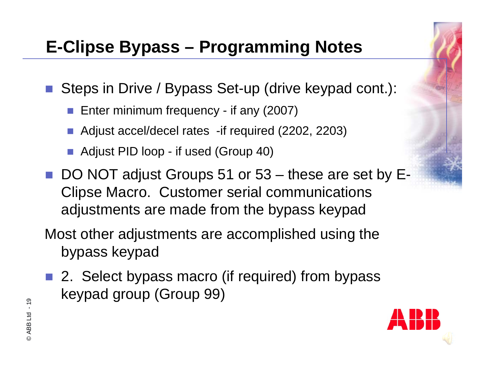■ Steps in Drive / Bypass Set-up (drive keypad cont.):

- **Enter minimum frequency if any (2007)**
- Adjust accel/decel rates -if required (2202, 2203)
- Adjust PID loop if used (Group 40)
- DO NOT adjust Groups 51 or 53 these are set by E-Clipse Macro. Customer serial communications adjustments are made from the bypass keypad
- Most other adjustments are accomplished using the bypass keypad
- 2. Select bypass macro (if required) from bypass keypad group (Group 99)

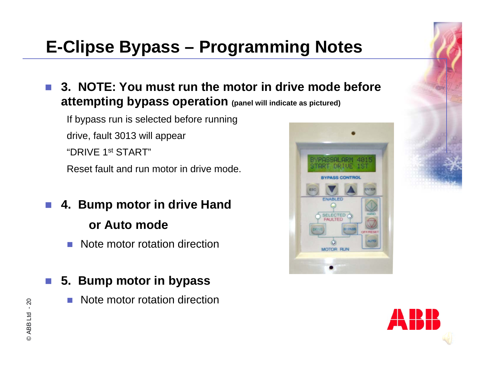**3. NOTE: You must run the motor in drive mode before attempting bypass operation (panel will indicate as pictured)**

If bypass run is selected before running drive, fault 3013 will appear "DRIVE 1st START"Reset fault and run motor in drive mode.

- **4. Bump motor in drive Hand or Auto mode**
	- **Note motor rotation direction**
- **5. Bump motor in bypass**
	- F. Note motor rotation direction



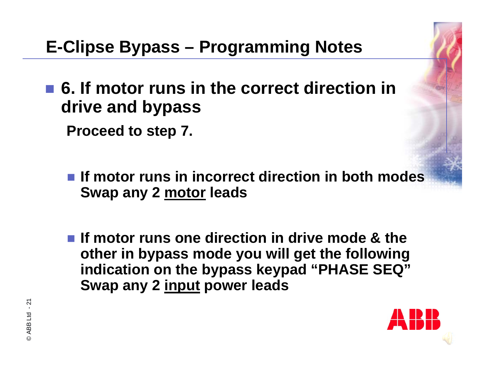■ 6. If motor runs in the correct direction in **drive and bypass**

**Proceed to step 7.**

- If motor runs in incorrect direction in both modes **Swap any 2 motor leads**
- **If motor runs one direction in drive mode & the other in bypass mode you will get the following indication on the bypass keypad "PHASE SEQ" Swap any 2 input power leads**

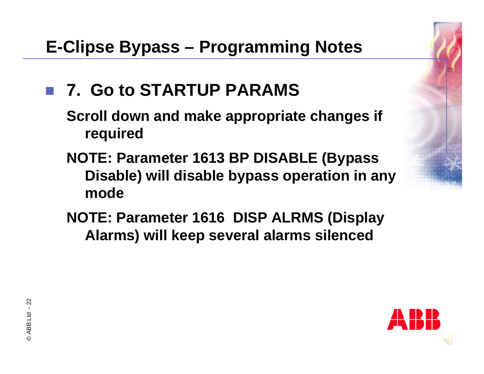## ■ 7. Go to STARTUP PARAMS

**Scroll down and make appropriate changes if required**

- **NOTE: Parameter 1613 BP DISABLE (Bypass Disable) will disable bypass operation in any mode**
- **NOTE: Parameter 1616 DISP ALRMS (Display Alarms) will keep several alarms silenced**

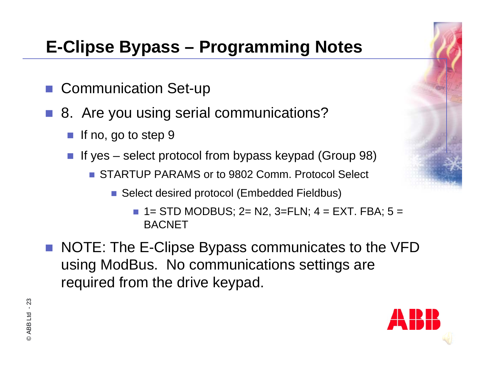- Communication Set-up
- 8. Are you using serial communications?
	- If no, go to step 9
	- If yes select protocol from bypass keypad (Group 98)
		- STARTUP PARAMS or to 9802 Comm. Protocol Select
			- Select desired protocol (Embedded Fieldbus)
				- $\blacksquare$  1= STD MODBUS; 2= N2, 3=FLN; 4 = EXT. FBA; 5 = **BACNET**
- NOTE: The E-Clipse Bypass communicates to the VFD using ModBus. No communications settings are required from the drive keypad.

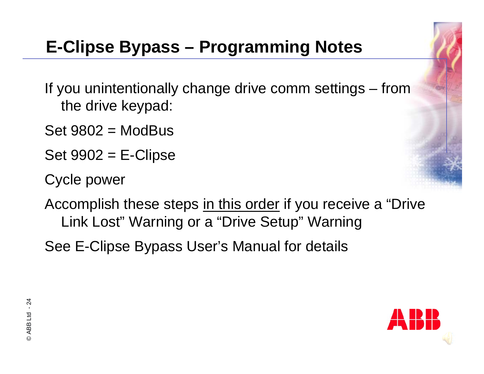If you unintentionally change drive comm settings – from the drive keypad:

 $Set 9802 = ModBus$ 

 $Set 9902 = E\text{-Clipse}$ 

Cycle power

Accomplish these steps in this order if you receive a "Drive Link Lost" Warning or a "Drive Setup" Warning

See E-Clipse Bypass User's Manual for details

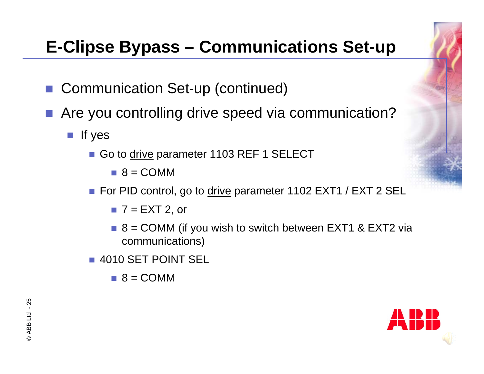- Communication Set-up (continued)
- Are you controlling drive speed via communication?
	- $\blacksquare$  If yes
		- Go to drive parameter 1103 REF 1 SELECT
			- $\blacksquare$  8 = COMM
		- For PID control, go to <u>drive</u> parameter 1102 EXT1 / EXT 2 SEL
			- $\blacksquare$  7 = EXT 2, or
			- $\blacksquare$  8 = COMM (if you wish to switch between EXT1 & EXT2 via communications)
		- 4010 SET POINT SEL
			- $\blacksquare$  8 = COMM

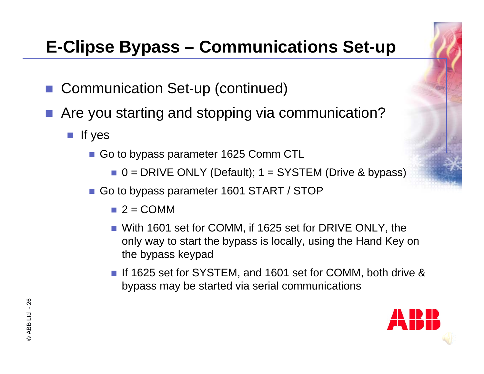- Communication Set-up (continued)
- Are you starting and stopping via communication?
	- $\blacksquare$  If yes
		- Go to bypass parameter 1625 Comm CTL
			- $\blacksquare$  0 = DRIVE ONLY (Default); 1 = SYSTEM (Drive & bypass)
		- Go to bypass parameter 1601 START / STOP
			- $\blacksquare$  2 = COMM
			- With 1601 set for COMM, if 1625 set for DRIVE ONLY, the only way to start the bypass is locally, using the Hand Key on the bypass keypad
			- If 1625 set for SYSTEM, and 1601 set for COMM, both drive & bypass may be started via serial communications

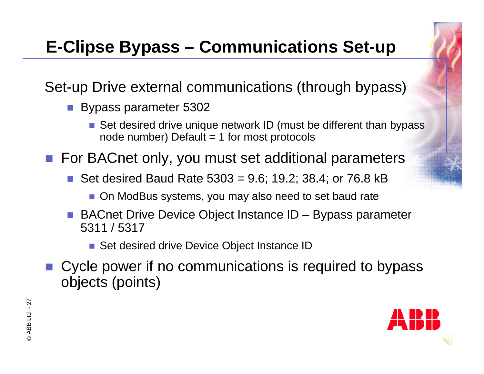Set-up Drive external communications (through bypass)

- Bypass parameter 5302
	- Set desired drive unique network ID (must be different than bypass node number) Default  $= 1$  for most protocols
- For BACnet only, you must set additional parameters
	- Set desired Baud Rate  $5303 = 9.6$ ; 19.2; 38.4; or 76.8 kB
		- On ModBus systems, you may also need to set baud rate
	- BACnet Drive Device Object Instance ID Bypass parameter 5311 / 5317
		- Set desired drive Device Object Instance ID
- Cycle power if no communications is required to bypass objects (points)

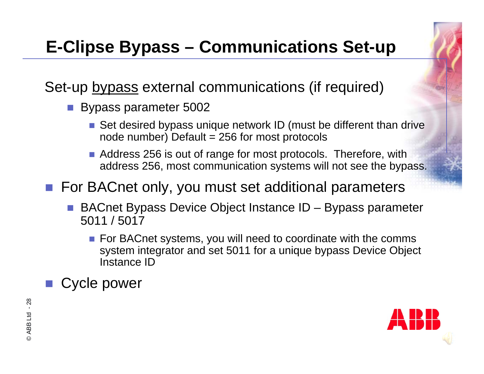Set-up bypass external communications (if required)

- Bypass parameter 5002
	- Set desired bypass unique network ID (must be different than drive node number) Default  $= 256$  for most protocols
	- **Address 256 is out of range for most protocols. Therefore, with** address 256, most communication systems will not see the bypass.

■ For BACnet only, you must set additional parameters

- BACnet Bypass Device Object Instance ID Bypass parameter 5011 / 5017
	- **For BACnet systems, you will need to coordinate with the comms** system integrator and set 5011 for a unique bypass Device Object Instance ID

Cycle power

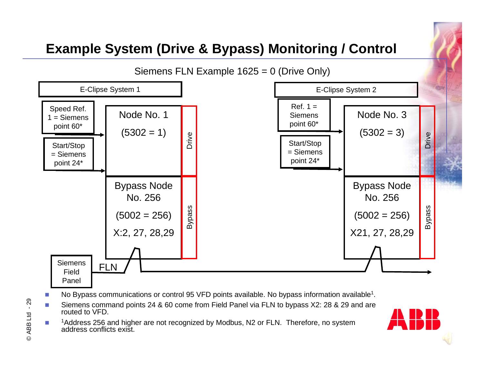

- m. No Bypass communications or control 95 VFD points available. No bypass information available<sup>1</sup>.
- m. Siemens command points 24 & 60 come from Field Panel via FLN to bypass X2: 28 & 29 and are routed to VFD.
- ▉ <sup>1</sup>Address 256 and higher are not recognized by Modbus, N2 or FLN. Therefore, no system address conflicts exist.

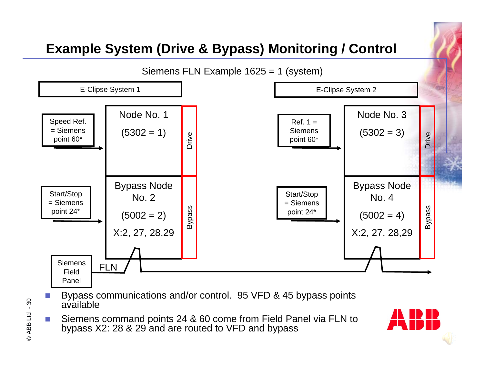

- × Bypass communications and/or control. 95 VFD & 45 bypass points available
- $\sim$  Siemens command points 24 & 60 come from Field Panel via FLN to bypass X2: 28 & 29 and are routed to VFD and bypass

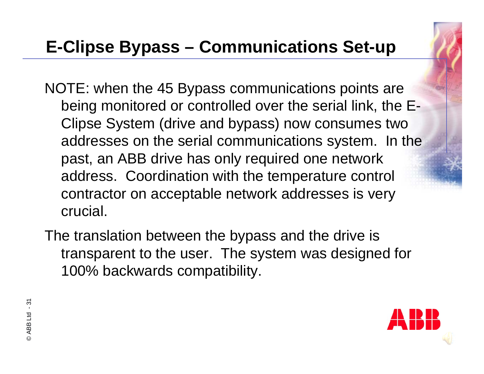- NOTE: when the 45 Bypass communications points are being monitored or controlled over the serial link, the E-Clipse System (drive and bypass) now consumes two addresses on the serial communications system. In the past, an ABB drive has only required one network address. Coordination with the temperature control contractor on acceptable network addresses is very crucial.
- The translation between the bypass and the drive is transparent to the user. The system was designed for 100% backwards compatibility.

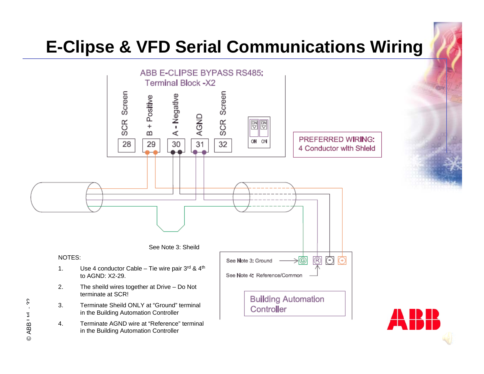# **E-Clipse & VFD Serial Communications Wiring**



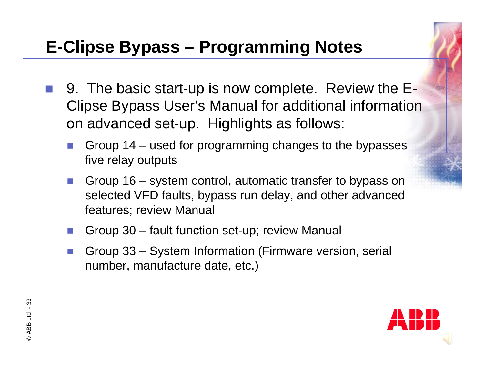- 9. The basic start-up is now complete. Review the E-Clipse Bypass User's Manual for additional information on advanced set-up. Highlights as follows:
	- Group 14 used for programming changes to the bypasses five relay outputs
	- p. Group 16 – system control, automatic transfer to bypass on selected VFD faults, bypass run delay, and other advanced features; review Manual
	- p. Group 30 – fault function set-up; review Manual
	- b. Group 33 – System Information (Firmware version, serial number, manufacture date, etc.)